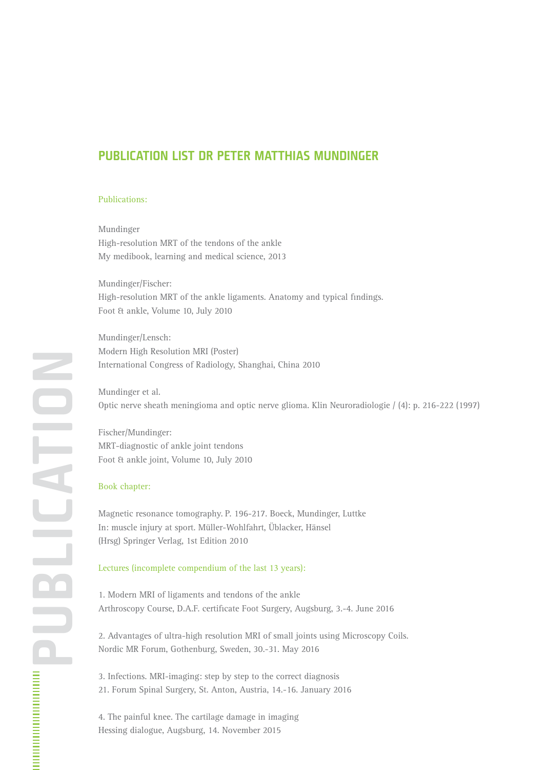## **PUBLICATION LIST DR PETER MATTHIAS MUNDINGER**

## Publications:

Mundinger High-resolution MRT of the tendons of the ankle My medibook, learning and medical science, 2013

Mundinger/Fischer: High-resolution MRT of the ankle ligaments. Anatomy and typical findings. Foot & ankle, Volume 10, July 2010

Mundinger/Lensch: Modern High Resolution MRI (Poster) International Congress of Radiology, Shanghai, China 2010

Mundinger et al. Optic nerve sheath meningioma and optic nerve glioma. Klin Neuroradiologie / (4): p. 216-222 (1997)

Fischer/Mundinger: MRT-diagnostic of ankle joint tendons Foot & ankle joint, Volume 10, July 2010

## Book chapter:

Magnetic resonance tomography. P. 196-217. Boeck, Mundinger, Luttke In: muscle injury at sport. Müller-Wohlfahrt, Üblacker, Hänsel (Hrsg) Springer Verlag, 1st Edition 2010

## Lectures (incomplete compendium of the last 13 years):

1. Modern MRI of ligaments and tendons of the ankle Arthroscopy Course, D.A.F. certificate Foot Surgery, Augsburg, 3.-4. June 2016

2. Advantages of ultra-high resolution MRI of small joints using Microscopy Coils. Nordic MR Forum, Gothenburg, Sweden, 30.-31. May 2016

3. Infections. MRI-imaging: step by step to the correct diagnosis 21. Forum Spinal Surgery, St. Anton, Austria, 14.-16. January 2016

4. The painful knee. The cartilage damage in imaging Hessing dialogue, Augsburg, 14. November 2015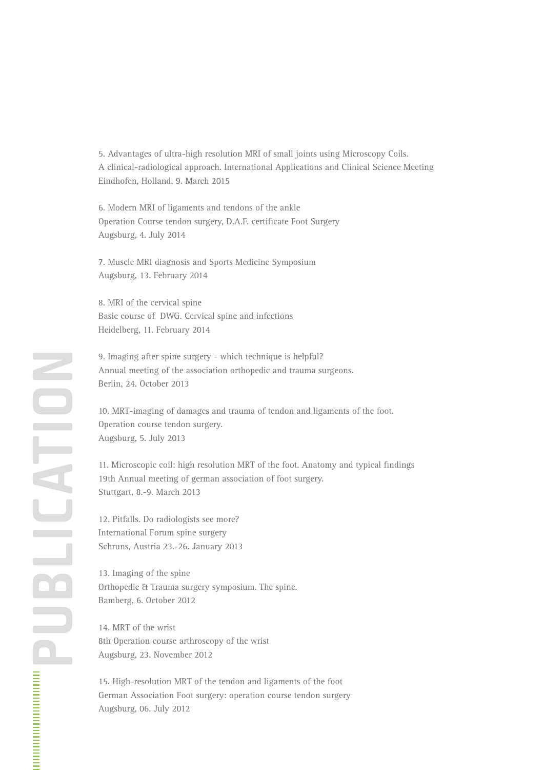5. Advantages of ultra-high resolution MRI of small joints using Microscopy Coils. A clinical-radiological approach. International Applications and Clinical Science Meeting Eindhofen, Holland, 9. March 2015

6. Modern MRI of ligaments and tendons of the ankle Operation Course tendon surgery, D.A.F. certificate Foot Surgery Augsburg, 4. July 2014

7. Muscle MRI diagnosis and Sports Medicine Symposium Augsburg, 13. February 2014

8. MRI of the cervical spine Basic course of DWG. Cervical spine and infections Heidelberg, 11. February 2014

9. Imaging after spine surgery - which technique is helpful? Annual meeting of the association orthopedic and trauma surgeons. Berlin, 24. October 2013

10. MRT-imaging of damages and trauma of tendon and ligaments of the foot. Operation course tendon surgery. Augsburg, 5. July 2013

11. Microscopic coil: high resolution MRT of the foot. Anatomy and typical findings 19th Annual meeting of german association of foot surgery. Stuttgart, 8.-9. March 2013

12. Pitfalls. Do radiologists see more? International Forum spine surgery Schruns, Austria 23.-26. January 2013

13. Imaging of the spine Orthopedic & Trauma surgery symposium. The spine. Bamberg, 6. October 2012

14. MRT of the wrist 8th Operation course arthroscopy of the wrist Augsburg, 23. November 2012

15. High-resolution MRT of the tendon and ligaments of the foot German Association Foot surgery: operation course tendon surgery Augsburg, 06. July 2012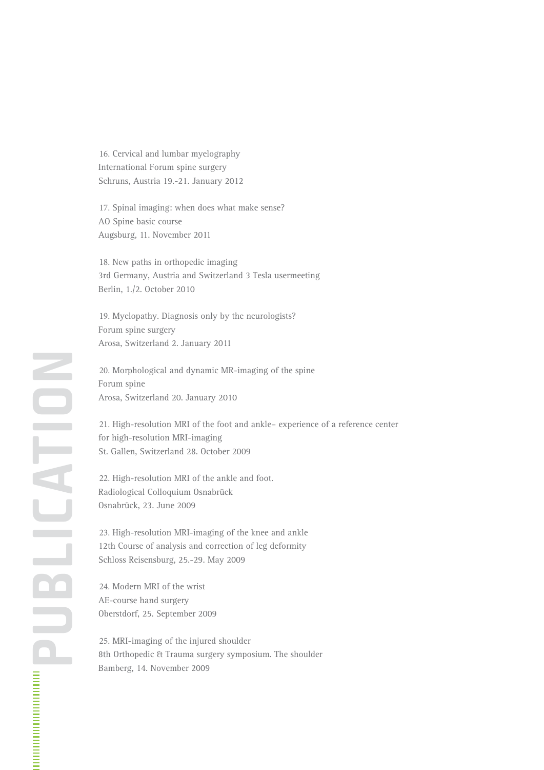16. Cervical and lumbar myelography International Forum spine surgery Schruns, Austria 19.-21. January 2012

17. Spinal imaging: when does what make sense? AO Spine basic course Augsburg, 11. November 2011

18. New paths in orthopedic imaging 3rd Germany, Austria and Switzerland 3 Tesla usermeeting Berlin, 1./2. October 2010

19. Myelopathy. Diagnosis only by the neurologists? Forum spine surgery Arosa, Switzerland 2. January 2011

20. Morphological and dynamic MR-imaging of the spine Forum spine Arosa, Switzerland 20. January 2010

21. High-resolution MRI of the foot and ankle– experience of a reference center for high-resolution MRI-imaging St. Gallen, Switzerland 28. October 2009

22. High-resolution MRI of the ankle and foot. Radiological Colloquium Osnabrück Osnabrück, 23. June 2009

23. High-resolution MRI-imaging of the knee and ankle 12th Course of analysis and correction of leg deformity Schloss Reisensburg, 25.-29. May 2009

24. Modern MRI of the wrist AE-course hand surgery Oberstdorf, 25. September 2009

25. MRI-imaging of the injured shoulder 8th Orthopedic & Trauma surgery symposium. The shoulder Bamberg, 14. November 2009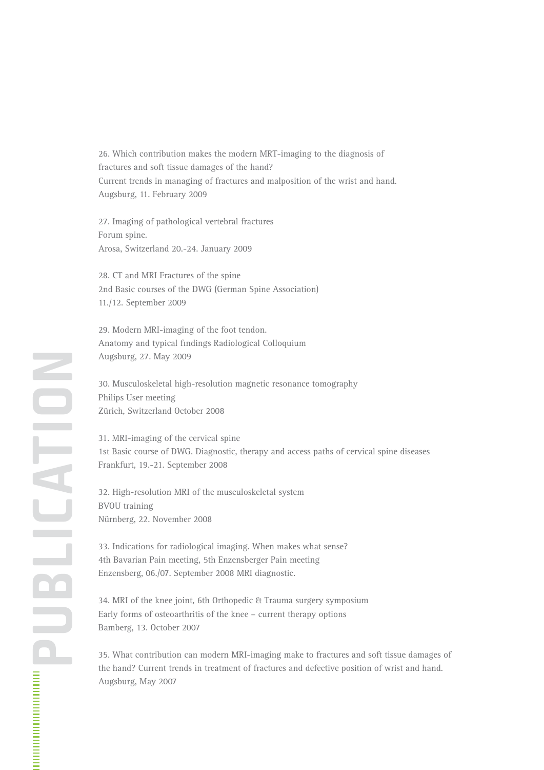26. Which contribution makes the modern MRT-imaging to the diagnosis of fractures and soft tissue damages of the hand? Current trends in managing of fractures and malposition of the wrist and hand. Augsburg, 11. February 2009

27. Imaging of pathological vertebral fractures Forum spine. Arosa, Switzerland 20.-24. January 2009

28. CT and MRI Fractures of the spine 2nd Basic courses of the DWG (German Spine Association) 11./12. September 2009

29. Modern MRI-imaging of the foot tendon. Anatomy and typical findings Radiological Colloquium Augsburg, 27. May 2009

30. Musculoskeletal high-resolution magnetic resonance tomography Philips User meeting Zürich, Switzerland October 2008

31. MRI-imaging of the cervical spine 1st Basic course of DWG. Diagnostic, therapy and access paths of cervical spine diseases Frankfurt, 19.-21. September 2008

32. High-resolution MRI of the musculoskeletal system BVOU training Nürnberg, 22. November 2008

33. Indications for radiological imaging. When makes what sense? 4th Bavarian Pain meeting, 5th Enzensberger Pain meeting Enzensberg, 06./07. September 2008 MRI diagnostic.

34. MRI of the knee joint, 6th Orthopedic & Trauma surgery symposium Early forms of osteoarthritis of the knee – current therapy options Bamberg, 13. October 2007

35. What contribution can modern MRI-imaging make to fractures and soft tissue damages of the hand? Current trends in treatment of fractures and defective position of wrist and hand. Augsburg, May 2007